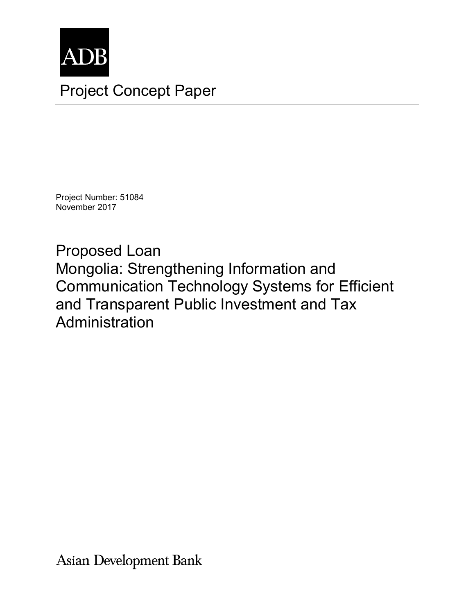

Project Number: 51084 November 2017

Proposed Loan Mongolia: Strengthening Information and Communication Technology Systems for Efficient and Transparent Public Investment and Tax Administration

**Asian Development Bank**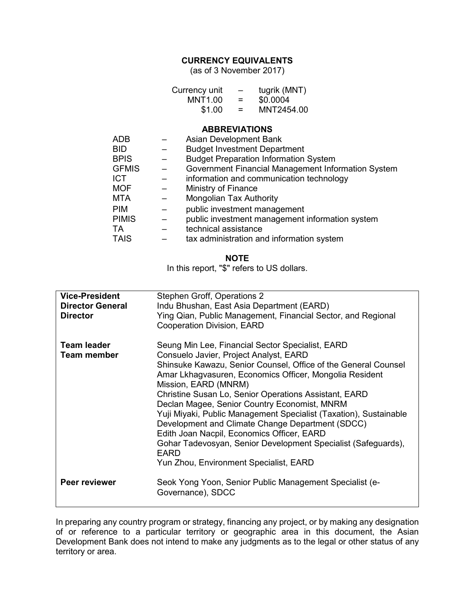## **CURRENCY EQUIVALENTS**

(as of 3 November 2017)

| Currency unit | $\overline{\phantom{m}}$ | tugrik (MNT) |
|---------------|--------------------------|--------------|
| MNT1.00       | =                        | \$0.0004     |
| \$1.00        | $=$                      | MNT2454.00   |

### **ABBREVIATIONS**

| <b>ADB</b>   |   | Asian Development Bank                             |
|--------------|---|----------------------------------------------------|
| BID.         |   | <b>Budget Investment Department</b>                |
| <b>BPIS</b>  |   | <b>Budget Preparation Information System</b>       |
| <b>GFMIS</b> |   | Government Financial Management Information System |
| <b>ICT</b>   |   | information and communication technology           |
| <b>MOF</b>   |   | Ministry of Finance                                |
| <b>MTA</b>   |   | Mongolian Tax Authority                            |
| <b>PIM</b>   | — | public investment management                       |
| <b>PIMIS</b> |   | public investment management information system    |
| <b>TA</b>    |   | technical assistance                               |
| <b>TAIS</b>  |   | tax administration and information system          |

### **NOTE**

In this report, "\$" refers to US dollars.

| <b>Vice-President</b>   | Stephen Groff, Operations 2                                       |
|-------------------------|-------------------------------------------------------------------|
| <b>Director General</b> | Indu Bhushan, East Asia Department (EARD)                         |
| <b>Director</b>         | Ying Qian, Public Management, Financial Sector, and Regional      |
|                         | Cooperation Division, EARD                                        |
|                         |                                                                   |
| <b>Team leader</b>      | Seung Min Lee, Financial Sector Specialist, EARD                  |
| <b>Team member</b>      | Consuelo Javier, Project Analyst, EARD                            |
|                         | Shinsuke Kawazu, Senior Counsel, Office of the General Counsel    |
|                         |                                                                   |
|                         | Amar Lkhagvasuren, Economics Officer, Mongolia Resident           |
|                         | Mission, EARD (MNRM)                                              |
|                         | Christine Susan Lo, Senior Operations Assistant, EARD             |
|                         | Declan Magee, Senior Country Economist, MNRM                      |
|                         | Yuji Miyaki, Public Management Specialist (Taxation), Sustainable |
|                         | Development and Climate Change Department (SDCC)                  |
|                         |                                                                   |
|                         | Edith Joan Nacpil, Economics Officer, EARD                        |
|                         | Gohar Tadevosyan, Senior Development Specialist (Safeguards),     |
|                         | <b>EARD</b>                                                       |
|                         | Yun Zhou, Environment Specialist, EARD                            |
|                         |                                                                   |
| Peer reviewer           | Seok Yong Yoon, Senior Public Management Specialist (e-           |
|                         | Governance), SDCC                                                 |
|                         |                                                                   |
|                         |                                                                   |

In preparing any country program or strategy, financing any project, or by making any designation of or reference to a particular territory or geographic area in this document, the Asian Development Bank does not intend to make any judgments as to the legal or other status of any territory or area.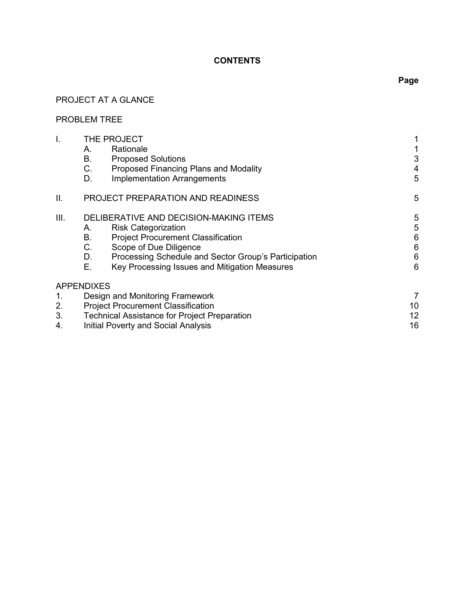# **CONTENTS**

# PROJECT AT A GLANCE

## PROBLEM TREE

| I.   | THE PROJECT                                                |                 |
|------|------------------------------------------------------------|-----------------|
|      | Rationale<br>Α.                                            |                 |
|      | В.<br><b>Proposed Solutions</b>                            | 3               |
|      | C.<br>Proposed Financing Plans and Modality                | 4               |
|      | <b>Implementation Arrangements</b><br>D.                   | 5               |
| ΙΙ.  | PROJECT PREPARATION AND READINESS                          | 5               |
| III. | DELIBERATIVE AND DECISION-MAKING ITEMS                     | 5               |
|      | <b>Risk Categorization</b><br>Α.                           | 5               |
|      | В.<br><b>Project Procurement Classification</b>            | $6\phantom{1}6$ |
|      | C.<br>Scope of Due Diligence                               | $6\,$           |
|      | Processing Schedule and Sector Group's Participation<br>D. | 6               |
|      | Е.<br>Key Processing Issues and Mitigation Measures        | 6               |
|      | <b>APPENDIXES</b>                                          |                 |
| 1.   | Design and Monitoring Framework                            | 7               |
| 2.   | <b>Project Procurement Classification</b>                  | 10              |
| 3.   | <b>Technical Assistance for Project Preparation</b>        | 12              |
| 4.   | <b>Initial Poverty and Social Analysis</b>                 | 16              |
|      |                                                            |                 |

# **Page**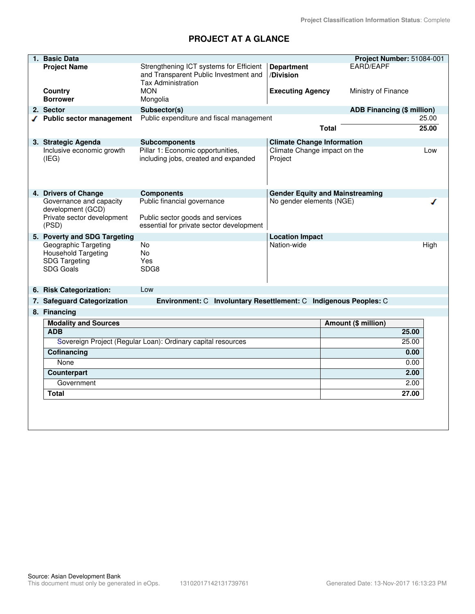# **PROJECT AT A GLANCE**

| 1. Basic Data                                                                           |                                                                                                               |                                         |                                        | Project Number: 51084-001 |
|-----------------------------------------------------------------------------------------|---------------------------------------------------------------------------------------------------------------|-----------------------------------------|----------------------------------------|---------------------------|
| <b>Project Name</b>                                                                     | Strengthening ICT systems for Efficient<br>and Transparent Public Investment and<br><b>Tax Administration</b> | <b>Department</b><br>/Division          | EARD/EAPF                              |                           |
| <b>Country</b><br><b>Borrower</b>                                                       | <b>MON</b><br>Mongolia                                                                                        | <b>Executing Agency</b>                 | Ministry of Finance                    |                           |
| 2. Sector                                                                               | Subsector(s)                                                                                                  |                                         | <b>ADB Financing (\$ million)</b>      |                           |
| √ Public sector management                                                              | Public expenditure and fiscal management                                                                      |                                         |                                        | 25.00                     |
|                                                                                         |                                                                                                               |                                         | <b>Total</b>                           | 25.00                     |
| 3. Strategic Agenda                                                                     | Subcomponents                                                                                                 | <b>Climate Change Information</b>       |                                        |                           |
| Inclusive economic growth<br>(IEG)                                                      | Pillar 1: Economic opportunities,<br>including jobs, created and expanded                                     | Climate Change impact on the<br>Project |                                        | Low                       |
| 4. Drivers of Change                                                                    | <b>Components</b>                                                                                             |                                         | <b>Gender Equity and Mainstreaming</b> |                           |
| Governance and capacity<br>development (GCD)<br>Private sector development<br>(PSD)     | Public financial governance<br>Public sector goods and services<br>essential for private sector development   | No gender elements (NGE)                |                                        |                           |
| 5. Poverty and SDG Targeting                                                            |                                                                                                               | <b>Location Impact</b>                  |                                        |                           |
| Geographic Targeting<br><b>Household Targeting</b><br><b>SDG Targeting</b><br>SDG Goals | <b>No</b><br>No<br>Yes<br>SDG8                                                                                | Nation-wide                             |                                        | High                      |
| 6. Risk Categorization:                                                                 | Low                                                                                                           |                                         |                                        |                           |
| 7. Safeguard Categorization                                                             | Environment: C Involuntary Resettlement: C Indigenous Peoples: C                                              |                                         |                                        |                           |
| 8. Financing                                                                            |                                                                                                               |                                         |                                        |                           |
| <b>Modality and Sources</b>                                                             |                                                                                                               |                                         | Amount (\$ million)                    |                           |
| <b>ADB</b>                                                                              |                                                                                                               |                                         |                                        | 25.00                     |
|                                                                                         | Sovereign Project (Regular Loan): Ordinary capital resources                                                  |                                         |                                        | 25.00                     |
| Cofinancing                                                                             |                                                                                                               |                                         |                                        | 0.00                      |
| None                                                                                    |                                                                                                               |                                         |                                        | 0.00                      |
| Counterpart                                                                             |                                                                                                               |                                         |                                        | 2.00                      |
| Government                                                                              |                                                                                                               |                                         |                                        | 2.00                      |
| Total                                                                                   |                                                                                                               |                                         |                                        | 27.00                     |
|                                                                                         |                                                                                                               |                                         |                                        |                           |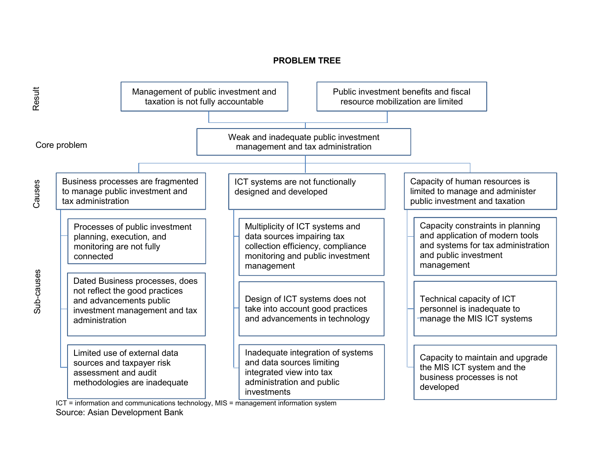## **PROBLEM TREE**



ICT = information and communications technology, MIS = management information system Source: Asian Development Bank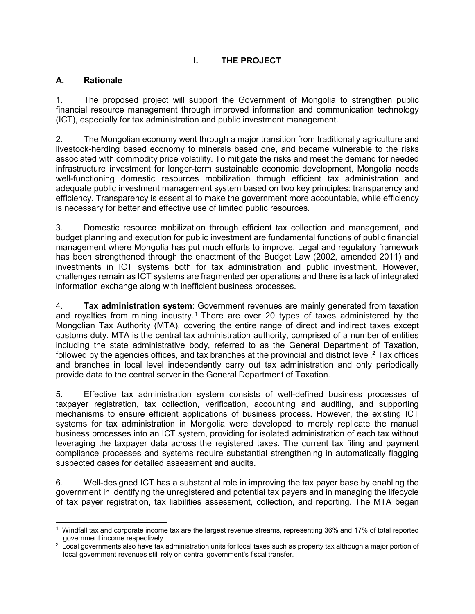# **I. THE PROJECT**

## **A. Rationale**

1. The proposed project will support the Government of Mongolia to strengthen public financial resource management through improved information and communication technology (ICT), especially for tax administration and public investment management.

2. The Mongolian economy went through a major transition from traditionally agriculture and livestock-herding based economy to minerals based one, and became vulnerable to the risks associated with commodity price volatility. To mitigate the risks and meet the demand for needed infrastructure investment for longer-term sustainable economic development, Mongolia needs well-functioning domestic resources mobilization through efficient tax administration and adequate public investment management system based on two key principles: transparency and efficiency. Transparency is essential to make the government more accountable, while efficiency is necessary for better and effective use of limited public resources.

3. Domestic resource mobilization through efficient tax collection and management, and budget planning and execution for public investment are fundamental functions of public financial management where Mongolia has put much efforts to improve. Legal and regulatory framework has been strengthened through the enactment of the Budget Law (2002, amended 2011) and investments in ICT systems both for tax administration and public investment. However, challenges remain as ICT systems are fragmented per operations and there is a lack of integrated information exchange along with inefficient business processes.

4. **Tax administration system**: Government revenues are mainly generated from taxation and royalties from mining industry.<sup>1</sup> There are over 20 types of taxes administered by the Mongolian Tax Authority (MTA), covering the entire range of direct and indirect taxes except customs duty. MTA is the central tax administration authority, comprised of a number of entities including the state administrative body, referred to as the General Department of Taxation, followed by the agencies offices, and tax branches at the provincial and district level.<sup>2</sup> Tax offices and branches in local level independently carry out tax administration and only periodically provide data to the central server in the General Department of Taxation.

5. Effective tax administration system consists of well-defined business processes of taxpayer registration, tax collection, verification, accounting and auditing, and supporting mechanisms to ensure efficient applications of business process. However, the existing ICT systems for tax administration in Mongolia were developed to merely replicate the manual business processes into an ICT system, providing for isolated administration of each tax without leveraging the taxpayer data across the registered taxes. The current tax filing and payment compliance processes and systems require substantial strengthening in automatically flagging suspected cases for detailed assessment and audits.

6. Well-designed ICT has a substantial role in improving the tax payer base by enabling the government in identifying the unregistered and potential tax payers and in managing the lifecycle of tax payer registration, tax liabilities assessment, collection, and reporting. The MTA began

<sup>-</sup>1 Windfall tax and corporate income tax are the largest revenue streams, representing 36% and 17% of total reported

government income respectively.<br><sup>2</sup> Local governments also have tax administration units for local taxes such as property tax although a major portion of local government revenues still rely on central government's fiscal transfer.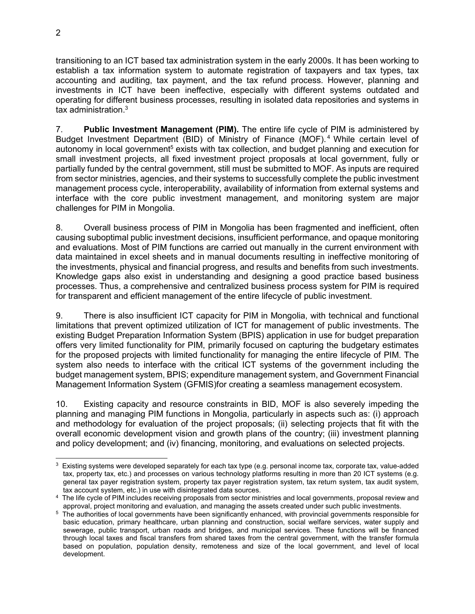transitioning to an ICT based tax administration system in the early 2000s. It has been working to establish a tax information system to automate registration of taxpayers and tax types, tax accounting and auditing, tax payment, and the tax refund process. However, planning and investments in ICT have been ineffective, especially with different systems outdated and operating for different business processes, resulting in isolated data repositories and systems in tax administration.<sup>3</sup>

7. **Public Investment Management (PIM).** The entire life cycle of PIM is administered by Budget Investment Department (BID) of Ministry of Finance (MOF). <sup>4</sup> While certain level of autonomy in local government<sup>5</sup> exists with tax collection, and budget planning and execution for small investment projects, all fixed investment project proposals at local government, fully or partially funded by the central government, still must be submitted to MOF. As inputs are required from sector ministries, agencies, and their systems to successfully complete the public investment management process cycle, interoperability, availability of information from external systems and interface with the core public investment management, and monitoring system are major challenges for PIM in Mongolia.

8. Overall business process of PIM in Mongolia has been fragmented and inefficient, often causing suboptimal public investment decisions, insufficient performance, and opaque monitoring and evaluations. Most of PIM functions are carried out manually in the current environment with data maintained in excel sheets and in manual documents resulting in ineffective monitoring of the investments, physical and financial progress, and results and benefits from such investments. Knowledge gaps also exist in understanding and designing a good practice based business processes. Thus, a comprehensive and centralized business process system for PIM is required for transparent and efficient management of the entire lifecycle of public investment.

9. There is also insufficient ICT capacity for PIM in Mongolia, with technical and functional limitations that prevent optimized utilization of ICT for management of public investments. The existing Budget Preparation Information System (BPIS) application in use for budget preparation offers very limited functionality for PIM, primarily focused on capturing the budgetary estimates for the proposed projects with limited functionality for managing the entire lifecycle of PIM. The system also needs to interface with the critical ICT systems of the government including the budget management system, BPIS; expenditure management system, and Government Financial Management Information System (GFMIS)for creating a seamless management ecosystem.

10. Existing capacity and resource constraints in BID, MOF is also severely impeding the planning and managing PIM functions in Mongolia, particularly in aspects such as: (i) approach and methodology for evaluation of the project proposals; (ii) selecting projects that fit with the overall economic development vision and growth plans of the country; (iii) investment planning and policy development; and (iv) financing, monitoring, and evaluations on selected projects.

 3 Existing systems were developed separately for each tax type (e.g. personal income tax, corporate tax, value-added tax, property tax, etc.) and processes on various technology platforms resulting in more than 20 ICT systems (e.g. general tax payer registration system, property tax payer registration system, tax return system, tax audit system, tax account system, etc.) in use with disintegrated data sources.

<sup>&</sup>lt;sup>4</sup> The life cycle of PIM includes receiving proposals from sector ministries and local governments, proposal review and approval, project monitoring and evaluation, and managing the assets created under such public investments.

<sup>5</sup> The authorities of local governments have been significantly enhanced, with provincial governments responsible for basic education, primary healthcare, urban planning and construction, social welfare services, water supply and sewerage, public transport, urban roads and bridges, and municipal services. These functions will be financed through local taxes and fiscal transfers from shared taxes from the central government, with the transfer formula based on population, population density, remoteness and size of the local government, and level of local development.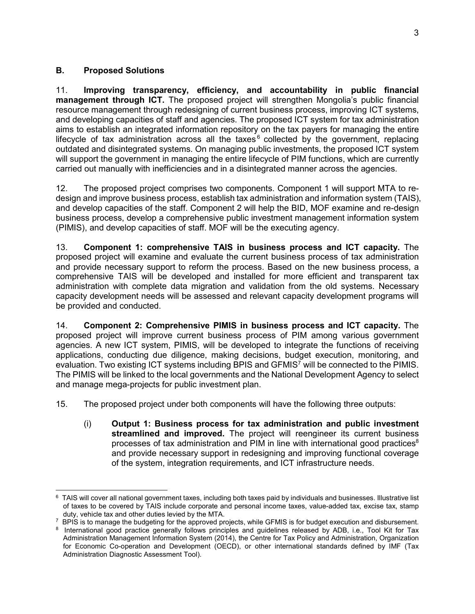## **B. Proposed Solutions**

11. **Improving transparency, efficiency, and accountability in public financial management through ICT.** The proposed project will strengthen Mongolia's public financial resource management through redesigning of current business process, improving ICT systems, and developing capacities of staff and agencies. The proposed ICT system for tax administration aims to establish an integrated information repository on the tax payers for managing the entire lifecycle of tax administration across all the taxes $6$  collected by the government, replacing outdated and disintegrated systems. On managing public investments, the proposed ICT system will support the government in managing the entire lifecycle of PIM functions, which are currently carried out manually with inefficiencies and in a disintegrated manner across the agencies.

12. The proposed project comprises two components. Component 1 will support MTA to redesign and improve business process, establish tax administration and information system (TAIS), and develop capacities of the staff. Component 2 will help the BID, MOF examine and re-design business process, develop a comprehensive public investment management information system (PIMIS), and develop capacities of staff. MOF will be the executing agency.

13. **Component 1: comprehensive TAIS in business process and ICT capacity.** The proposed project will examine and evaluate the current business process of tax administration and provide necessary support to reform the process. Based on the new business process, a comprehensive TAIS will be developed and installed for more efficient and transparent tax administration with complete data migration and validation from the old systems. Necessary capacity development needs will be assessed and relevant capacity development programs will be provided and conducted.

14. **Component 2: Comprehensive PIMIS in business process and ICT capacity.** The proposed project will improve current business process of PIM among various government agencies. A new ICT system, PIMIS, will be developed to integrate the functions of receiving applications, conducting due diligence, making decisions, budget execution, monitoring, and evaluation. Two existing ICT systems including BPIS and GFMIS<sup>7</sup> will be connected to the PIMIS. The PIMIS will be linked to the local governments and the National Development Agency to select and manage mega-projects for public investment plan.

15. The proposed project under both components will have the following three outputs:

(i) **Output 1: Business process for tax administration and public investment streamlined and improved.** The project will reengineer its current business processes of tax administration and PIM in line with international good practices $8$ and provide necessary support in redesigning and improving functional coverage of the system, integration requirements, and ICT infrastructure needs.

 $\overline{a}$  $^6$  TAIS will cover all national government taxes, including both taxes paid by individuals and businesses. Illustrative list of taxes to be covered by TAIS include corporate and personal income taxes, value-added tax, excise tax, stamp duty, vehicle tax and other duties levied by the MTA.

<sup>&</sup>lt;sup>7</sup> BPIS is to manage the budgeting for the approved projects, while GFMIS is for budget execution and disbursement.

<sup>8</sup> International good practice generally follows principles and guidelines released by ADB, i.e., Tool Kit for Tax Administration Management Information System (2014), the Centre for Tax Policy and Administration, Organization for Economic Co-operation and Development (OECD), or other international standards defined by IMF (Tax Administration Diagnostic Assessment Tool).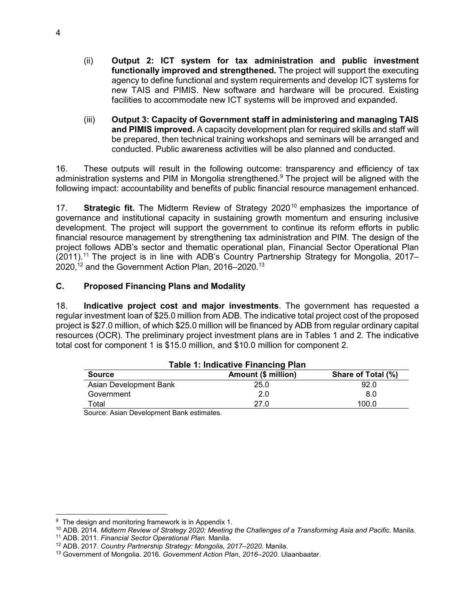- (ii) **Output 2: ICT system for tax administration and public investment functionally improved and strengthened.** The project will support the executing agency to define functional and system requirements and develop ICT systems for new TAIS and PIMIS. New software and hardware will be procured. Existing facilities to accommodate new ICT systems will be improved and expanded.
- (iii) **Output 3: Capacity of Government staff in administering and managing TAIS and PIMIS improved.** A capacity development plan for required skills and staff will be prepared, then technical training workshops and seminars will be arranged and conducted. Public awareness activities will be also planned and conducted.

16. These outputs will result in the following outcome: transparency and efficiency of tax administration systems and PIM in Mongolia strengthened.<sup>9</sup> The project will be aligned with the following impact: accountability and benefits of public financial resource management enhanced.

17. **Strategic fit.** The Midterm Review of Strategy 2020<sup>10</sup> emphasizes the importance of governance and institutional capacity in sustaining growth momentum and ensuring inclusive development. The project will support the government to continue its reform efforts in public financial resource management by strengthening tax administration and PIM. The design of the project follows ADB's sector and thematic operational plan, Financial Sector Operational Plan (2011).<sup>11</sup> The project is in line with ADB's Country Partnership Strategy for Mongolia, 2017– 2020,<sup>12</sup> and the Government Action Plan, 2016–2020.<sup>13</sup>

## **C. Proposed Financing Plans and Modality**

18. **Indicative project cost and major investments**. The government has requested a regular investment loan of \$25.0 million from ADB. The indicative total project cost of the proposed project is \$27.0 million, of which \$25.0 million will be financed by ADB from regular ordinary capital resources (OCR). The preliminary project investment plans are in Tables 1 and 2. The indicative total cost for component 1 is \$15.0 million, and \$10.0 million for component 2.

| <b>Table 1: Indicative Financing Plan</b>                  |      |       |  |  |
|------------------------------------------------------------|------|-------|--|--|
| Amount (\$ million)<br>Share of Total (%)<br><b>Source</b> |      |       |  |  |
| Asian Development Bank                                     | 25.0 | 92.0  |  |  |
| Government                                                 | 2.0  | 8.0   |  |  |
| Total                                                      | 27.0 | 100.0 |  |  |
| Course: Agian Dovelopment Bank ostimates                   |      |       |  |  |

Source: Asian Development Bank estimates.

 <sup>9</sup> The design and monitoring framework is in Appendix 1.

<sup>10</sup> ADB. 2014. *Midterm Review of Strategy 2020: Meeting the Challenges of a Transforming Asia and Pacific.* Manila.

<sup>11</sup> ADB. 2011. *Financial Sector Operational Plan.* Manila.

<sup>12</sup> ADB. 2017. *Country Partnership Strategy: Mongolia, 2017–2020.* Manila.

<sup>13</sup> Government of Mongolia. 2016. *Government Action Plan, 2016–2020*. Ulaanbaatar.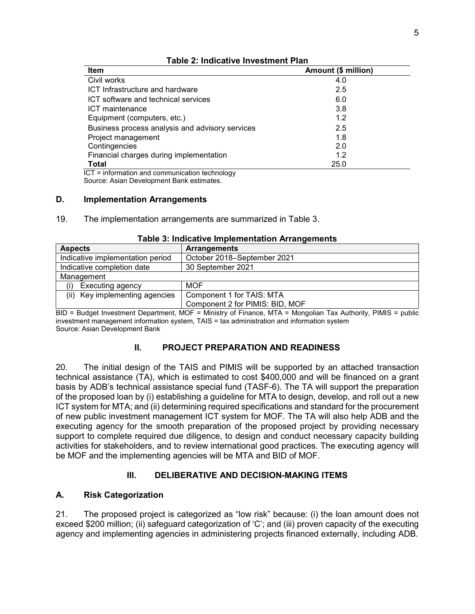| <b>Item</b>                                     | Amount (\$ million) |
|-------------------------------------------------|---------------------|
| Civil works                                     | 4.0                 |
| ICT Infrastructure and hardware                 | 2.5                 |
| ICT software and technical services             | 6.0                 |
| ICT maintenance                                 | 3.8                 |
| Equipment (computers, etc.)                     | 1.2                 |
| Business process analysis and advisory services | 2.5                 |
| Project management                              | 1.8                 |
| Contingencies                                   | 2.0                 |
| Financial charges during implementation         | 1.2                 |
| <b>Total</b><br>.                               | 25.0                |

### **Table 2: Indicative Investment Plan**

 ICT = information and communication technology Source: Asian Development Bank estimates.

## **D. Implementation Arrangements**

19. The implementation arrangements are summarized in Table 3.

| <b>Aspects</b>                                                  | <b>Arrangements</b>             |  |
|-----------------------------------------------------------------|---------------------------------|--|
| Indicative implementation period<br>October 2018–September 2021 |                                 |  |
| Indicative completion date<br>30 September 2021                 |                                 |  |
| Management                                                      |                                 |  |
| Executing agency<br>(i)                                         | <b>MOF</b>                      |  |
| (ii) Key implementing agencies<br>Component 1 for TAIS: MTA     |                                 |  |
|                                                                 | Component 2 for PIMIS: BID, MOF |  |

### **Table 3: Indicative Implementation Arrangements**

BID = Budget Investment Department, MOF = Ministry of Finance, MTA = Mongolian Tax Authority, PIMIS = public investment management information system, TAIS = tax administration and information system Source: Asian Development Bank

## **II. PROJECT PREPARATION AND READINESS**

20. The initial design of the TAIS and PIMIS will be supported by an attached transaction technical assistance (TA), which is estimated to cost \$400,000 and will be financed on a grant basis by ADB's technical assistance special fund (TASF-6). The TA will support the preparation of the proposed loan by (i) establishing a guideline for MTA to design, develop, and roll out a new ICT system for MTA; and (ii) determining required specifications and standard for the procurement of new public investment management ICT system for MOF. The TA will also help ADB and the executing agency for the smooth preparation of the proposed project by providing necessary support to complete required due diligence, to design and conduct necessary capacity building activities for stakeholders, and to review international good practices. The executing agency will be MOF and the implementing agencies will be MTA and BID of MOF.

## **III. DELIBERATIVE AND DECISION-MAKING ITEMS**

## **A. Risk Categorization**

21. The proposed project is categorized as "low risk" because: (i) the loan amount does not exceed \$200 million; (ii) safeguard categorization of 'C'; and (iii) proven capacity of the executing agency and implementing agencies in administering projects financed externally, including ADB.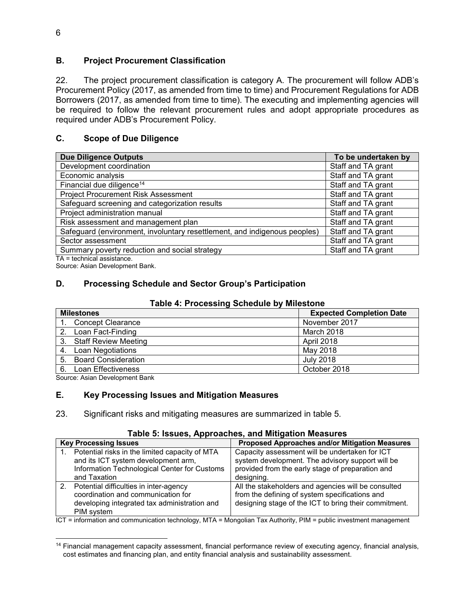## **B. Project Procurement Classification**

22. The project procurement classification is category A. The procurement will follow ADB's Procurement Policy (2017, as amended from time to time) and Procurement Regulations for ADB Borrowers (2017, as amended from time to time). The executing and implementing agencies will be required to follow the relevant procurement rules and adopt appropriate procedures as required under ADB's Procurement Policy.

## **C. Scope of Due Diligence**

| <b>Due Diligence Outputs</b>                                              | To be undertaken by |
|---------------------------------------------------------------------------|---------------------|
| Development coordination                                                  | Staff and TA grant  |
| Economic analysis                                                         | Staff and TA grant  |
| Financial due diligence <sup>14</sup>                                     | Staff and TA grant  |
| <b>Project Procurement Risk Assessment</b>                                | Staff and TA grant  |
| Safeguard screening and categorization results                            | Staff and TA grant  |
| Project administration manual                                             | Staff and TA grant  |
| Risk assessment and management plan                                       | Staff and TA grant  |
| Safeguard (environment, involuntary resettlement, and indigenous peoples) | Staff and TA grant  |
| Sector assessment                                                         | Staff and TA grant  |
| Summary poverty reduction and social strategy                             | Staff and TA grant  |
| $T_{\Lambda}$ $=$ taabnical acciotance                                    |                     |

TA = technical assistance. Source: Asian Development Bank.

## **D. Processing Schedule and Sector Group's Participation**

### **Table 4: Processing Schedule by Milestone**

|    | <b>Milestones</b>           | <b>Expected Completion Date</b> |
|----|-----------------------------|---------------------------------|
|    | <b>Concept Clearance</b>    | November 2017                   |
|    | Loan Fact-Finding           | March 2018                      |
| 3. | <b>Staff Review Meeting</b> | April 2018                      |
| 4. | Loan Negotiations           | May 2018                        |
| 5. | <b>Board Consideration</b>  | July 2018                       |
| 6. | Loan Effectiveness          | October 2018                    |

Source: Asian Development Bank

## **E. Key Processing Issues and Mitigation Measures**

23. Significant risks and mitigating measures are summarized in table 5.

## **Table 5: Issues, Approaches, and Mitigation Measures**

| <b>Key Processing Issues</b>                   | <b>Proposed Approaches and/or Mitigation Measures</b> |
|------------------------------------------------|-------------------------------------------------------|
| Potential risks in the limited capacity of MTA | Capacity assessment will be undertaken for ICT        |
| and its ICT system development arm,            | system development. The advisory support will be      |
| Information Technological Center for Customs   | provided from the early stage of preparation and      |
| and Taxation                                   | designing.                                            |
| 2. Potential difficulties in inter-agency      | All the stakeholders and agencies will be consulted   |
| coordination and communication for             | from the defining of system specifications and        |
| developing integrated tax administration and   | designing stage of the ICT to bring their commitment. |
| PIM system                                     |                                                       |

ICT = information and communication technology, MTA = Mongolian Tax Authority, PIM = public investment management

<sup>14</sup> Financial management capacity assessment, financial performance review of executing agency, financial analysis, cost estimates and financing plan, and entity financial analysis and sustainability assessment.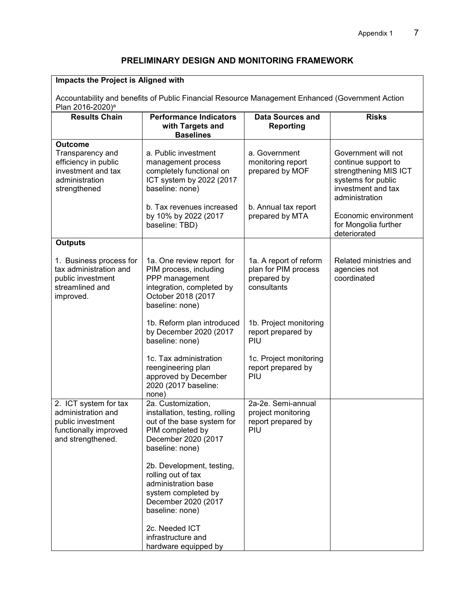# **PRELIMINARY DESIGN AND MONITORING FRAMEWORK**

| Impacts the Project is Aligned with<br>Accountability and benefits of Public Financial Resource Management Enhanced (Government Action |                                                                                                                                                    |                                                                               |                                                                                                                                   |  |
|----------------------------------------------------------------------------------------------------------------------------------------|----------------------------------------------------------------------------------------------------------------------------------------------------|-------------------------------------------------------------------------------|-----------------------------------------------------------------------------------------------------------------------------------|--|
| Plan 2016-2020) <sup>a</sup>                                                                                                           |                                                                                                                                                    |                                                                               |                                                                                                                                   |  |
| <b>Results Chain</b>                                                                                                                   | <b>Performance Indicators</b><br>with Targets and<br><b>Baselines</b>                                                                              | <b>Data Sources and</b><br><b>Reporting</b>                                   | <b>Risks</b>                                                                                                                      |  |
| <b>Outcome</b><br>Transparency and<br>efficiency in public<br>investment and tax<br>administration<br>strengthened                     | a. Public investment<br>management process<br>completely functional on<br>ICT system by 2022 (2017<br>baseline: none)<br>b. Tax revenues increased | a. Government<br>monitoring report<br>prepared by MOF<br>b. Annual tax report | Government will not<br>continue support to<br>strengthening MIS ICT<br>systems for public<br>investment and tax<br>administration |  |
|                                                                                                                                        | by 10% by 2022 (2017<br>baseline: TBD)                                                                                                             | prepared by MTA                                                               | Economic environment<br>for Mongolia further<br>deteriorated                                                                      |  |
| <b>Outputs</b>                                                                                                                         |                                                                                                                                                    |                                                                               |                                                                                                                                   |  |
| 1. Business process for<br>tax administration and<br>public investment<br>streamlined and<br>improved.                                 | 1a. One review report for<br>PIM process, including<br>PPP management<br>integration, completed by<br>October 2018 (2017<br>baseline: none)        | 1a. A report of reform<br>plan for PIM process<br>prepared by<br>consultants  | Related ministries and<br>agencies not<br>coordinated                                                                             |  |
|                                                                                                                                        | 1b. Reform plan introduced<br>by December 2020 (2017<br>baseline: none)                                                                            | 1b. Project monitoring<br>report prepared by<br>PIU                           |                                                                                                                                   |  |
|                                                                                                                                        | 1c. Tax administration<br>reengineering plan<br>approved by December<br>2020 (2017 baseline:<br>none)                                              | 1c. Project monitoring<br>report prepared by<br>PIU                           |                                                                                                                                   |  |
| 2. ICT system for tax<br>administration and<br>public investment<br>functionally improved<br>and strengthened.                         | 2a. Customization,<br>installation, testing, rolling<br>out of the base system for<br>PIM completed by<br>December 2020 (2017<br>baseline: none)   | 2a-2e. Semi-annual<br>project monitoring<br>report prepared by<br>PIU         |                                                                                                                                   |  |
|                                                                                                                                        | 2b. Development, testing,<br>rolling out of tax<br>administration base<br>system completed by<br>December 2020 (2017<br>baseline: none)            |                                                                               |                                                                                                                                   |  |
|                                                                                                                                        | 2c. Needed ICT<br>infrastructure and<br>hardware equipped by                                                                                       |                                                                               |                                                                                                                                   |  |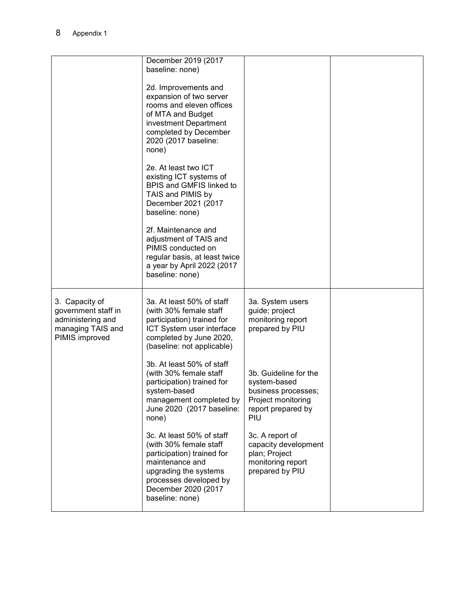|                                                                                                   | December 2019 (2017<br>baseline: none)                                                                                                                                                            |                                                                                                                 |  |
|---------------------------------------------------------------------------------------------------|---------------------------------------------------------------------------------------------------------------------------------------------------------------------------------------------------|-----------------------------------------------------------------------------------------------------------------|--|
|                                                                                                   | 2d. Improvements and<br>expansion of two server<br>rooms and eleven offices<br>of MTA and Budget<br>investment Department<br>completed by December<br>2020 (2017 baseline:<br>none)               |                                                                                                                 |  |
|                                                                                                   | 2e. At least two ICT<br>existing ICT systems of<br>BPIS and GMFIS linked to<br>TAIS and PIMIS by<br>December 2021 (2017<br>baseline: none)                                                        |                                                                                                                 |  |
|                                                                                                   | 2f. Maintenance and<br>adjustment of TAIS and<br>PIMIS conducted on<br>regular basis, at least twice<br>a year by April 2022 (2017<br>baseline: none)                                             |                                                                                                                 |  |
| 3. Capacity of<br>government staff in<br>administering and<br>managing TAIS and<br>PIMIS improved | 3a. At least 50% of staff<br>(with 30% female staff<br>participation) trained for<br>ICT System user interface<br>completed by June 2020,<br>(baseline: not applicable)                           | 3a. System users<br>guide; project<br>monitoring report<br>prepared by PIU                                      |  |
|                                                                                                   | 3b. At least 50% of staff<br>(with 30% female staff<br>participation) trained for<br>system-based<br>management completed by<br>June 2020 (2017 baseline:<br>none)                                | 3b. Guideline for the<br>system-based<br>business processes;<br>Project monitoring<br>report prepared by<br>PIU |  |
|                                                                                                   | 3c. At least 50% of staff<br>(with 30% female staff<br>participation) trained for<br>maintenance and<br>upgrading the systems<br>processes developed by<br>December 2020 (2017<br>baseline: none) | 3c. A report of<br>capacity development<br>plan; Project<br>monitoring report<br>prepared by PIU                |  |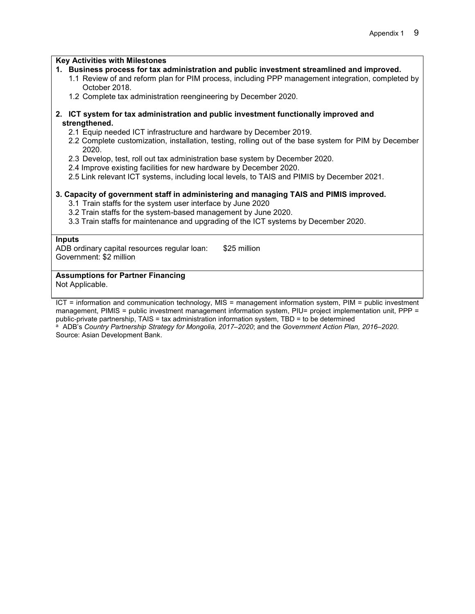#### **Key Activities with Milestones**

- **1. Business process for tax administration and public investment streamlined and improved.** 
	- 1.1 Review of and reform plan for PIM process, including PPP management integration, completed by October 2018.
	- 1.2 Complete tax administration reengineering by December 2020.

#### **2. ICT system for tax administration and public investment functionally improved and strengthened.**

- 2.1 Equip needed ICT infrastructure and hardware by December 2019.
- 2.2 Complete customization, installation, testing, rolling out of the base system for PIM by December 2020.
- 2.3 Develop, test, roll out tax administration base system by December 2020.
- 2.4 Improve existing facilities for new hardware by December 2020.
- 2.5 Link relevant ICT systems, including local levels, to TAIS and PIMIS by December 2021.

#### **3. Capacity of government staff in administering and managing TAIS and PIMIS improved.**

- 3.1 Train staffs for the system user interface by June 2020
- 3.2 Train staffs for the system-based management by June 2020.
- 3.3 Train staffs for maintenance and upgrading of the ICT systems by December 2020.

#### **Inputs**

ADB ordinary capital resources regular loan: \$25 million Government: \$2 million

### **Assumptions for Partner Financing**

Not Applicable.

ICT = information and communication technology, MIS = management information system, PIM = public investment management, PIMIS = public investment management information system, PIU= project implementation unit, PPP = public-private partnership, TAIS = tax administration information system, TBD = to be determined <sup>a</sup> ADB's *Country Partnership Strategy for Mongolia, 2017–2020*; and the *Government Action Plan, 2016–2020*.

Source: Asian Development Bank.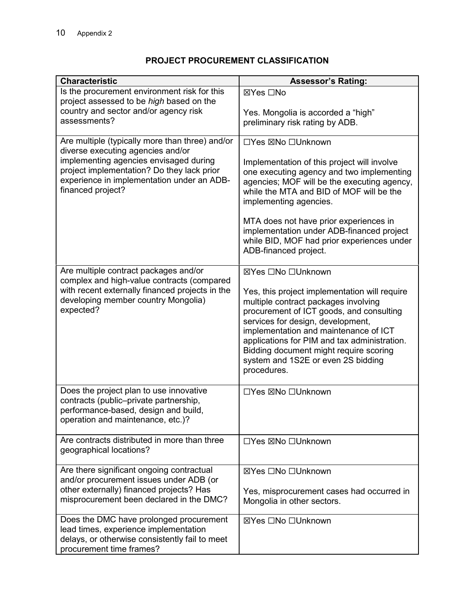# **PROJECT PROCUREMENT CLASSIFICATION**

| <b>Characteristic</b>                                                                                                                                          | <b>Assessor's Rating:</b>                                                                                                                                                                                                                                                                                                                                      |
|----------------------------------------------------------------------------------------------------------------------------------------------------------------|----------------------------------------------------------------------------------------------------------------------------------------------------------------------------------------------------------------------------------------------------------------------------------------------------------------------------------------------------------------|
| Is the procurement environment risk for this<br>project assessed to be high based on the                                                                       | ⊠Yes □No                                                                                                                                                                                                                                                                                                                                                       |
| country and sector and/or agency risk                                                                                                                          | Yes. Mongolia is accorded a "high"                                                                                                                                                                                                                                                                                                                             |
| assessments?                                                                                                                                                   | preliminary risk rating by ADB.                                                                                                                                                                                                                                                                                                                                |
| Are multiple (typically more than three) and/or<br>diverse executing agencies and/or                                                                           | □Yes ⊠No □Unknown                                                                                                                                                                                                                                                                                                                                              |
| implementing agencies envisaged during<br>project implementation? Do they lack prior<br>experience in implementation under an ADB-<br>financed project?        | Implementation of this project will involve<br>one executing agency and two implementing<br>agencies; MOF will be the executing agency,<br>while the MTA and BID of MOF will be the<br>implementing agencies.                                                                                                                                                  |
|                                                                                                                                                                | MTA does not have prior experiences in<br>implementation under ADB-financed project<br>while BID, MOF had prior experiences under<br>ADB-financed project.                                                                                                                                                                                                     |
| Are multiple contract packages and/or                                                                                                                          | ⊠Yes □No □Unknown                                                                                                                                                                                                                                                                                                                                              |
| complex and high-value contracts (compared<br>with recent externally financed projects in the<br>developing member country Mongolia)<br>expected?              | Yes, this project implementation will require<br>multiple contract packages involving<br>procurement of ICT goods, and consulting<br>services for design, development,<br>implementation and maintenance of ICT<br>applications for PIM and tax administration.<br>Bidding document might require scoring<br>system and 1S2E or even 2S bidding<br>procedures. |
| Does the project plan to use innovative<br>contracts (public-private partnership,<br>performance-based, design and build,<br>operation and maintenance, etc.)? | □Yes ⊠No □Unknown                                                                                                                                                                                                                                                                                                                                              |
| Are contracts distributed in more than three<br>geographical locations?                                                                                        | □Yes ⊠No □Unknown                                                                                                                                                                                                                                                                                                                                              |
| Are there significant ongoing contractual                                                                                                                      | ⊠Yes □No □Unknown                                                                                                                                                                                                                                                                                                                                              |
| and/or procurement issues under ADB (or<br>other externally) financed projects? Has                                                                            | Yes, misprocurement cases had occurred in                                                                                                                                                                                                                                                                                                                      |
| misprocurement been declared in the DMC?                                                                                                                       | Mongolia in other sectors.                                                                                                                                                                                                                                                                                                                                     |
| Does the DMC have prolonged procurement<br>lead times, experience implementation<br>delays, or otherwise consistently fail to meet<br>procurement time frames? | ⊠Yes □No □Unknown                                                                                                                                                                                                                                                                                                                                              |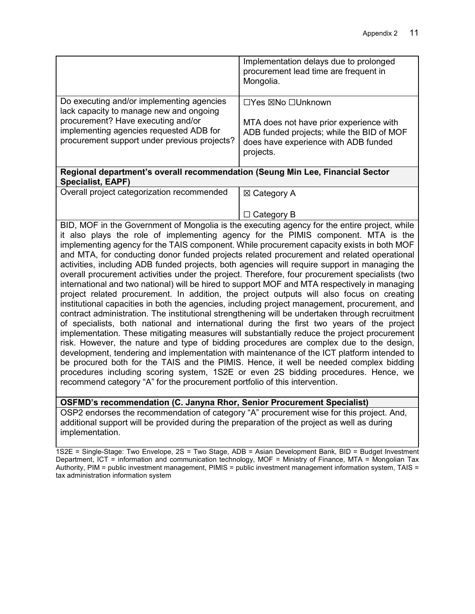| Implementation delays due to prolonged<br>procurement lead time are frequent in<br>Mongolia.                                              |  |
|-------------------------------------------------------------------------------------------------------------------------------------------|--|
| □Yes ⊠No □Unknown                                                                                                                         |  |
| MTA does not have prior experience with<br>ADB funded projects; while the BID of MOF<br>does have experience with ADB funded<br>projects. |  |
| Regional department's overall recommendation (Seung Min Lee, Financial Sector                                                             |  |
| $\boxtimes$ Category A                                                                                                                    |  |
| Category B                                                                                                                                |  |
|                                                                                                                                           |  |

BID, MOF in the Government of Mongolia is the executing agency for the entire project, while it also plays the role of implementing agency for the PIMIS component. MTA is the implementing agency for the TAIS component. While procurement capacity exists in both MOF and MTA, for conducting donor funded projects related procurement and related operational activities, including ADB funded projects, both agencies will require support in managing the overall procurement activities under the project. Therefore, four procurement specialists (two international and two national) will be hired to support MOF and MTA respectively in managing project related procurement. In addition, the project outputs will also focus on creating institutional capacities in both the agencies, including project management, procurement, and contract administration. The institutional strengthening will be undertaken through recruitment of specialists, both national and international during the first two years of the project implementation. These mitigating measures will substantially reduce the project procurement risk. However, the nature and type of bidding procedures are complex due to the design, development, tendering and implementation with maintenance of the ICT platform intended to be procured both for the TAIS and the PIMIS. Hence, it well be needed complex bidding procedures including scoring system, 1S2E or even 2S bidding procedures. Hence, we recommend category "A" for the procurement portfolio of this intervention.

## **OSFMD's recommendation (C. Janyna Rhor, Senior Procurement Specialist)**

OSP2 endorses the recommendation of category "A" procurement wise for this project. And, additional support will be provided during the preparation of the project as well as during implementation.

1S2E = Single-Stage: Two Envelope, 2S = Two Stage, ADB = Asian Development Bank, BID = Budget Investment Department, ICT = information and communication technology, MOF = Ministry of Finance, MTA = Mongolian Tax Authority, PIM = public investment management, PIMIS = public investment management information system, TAIS = tax administration information system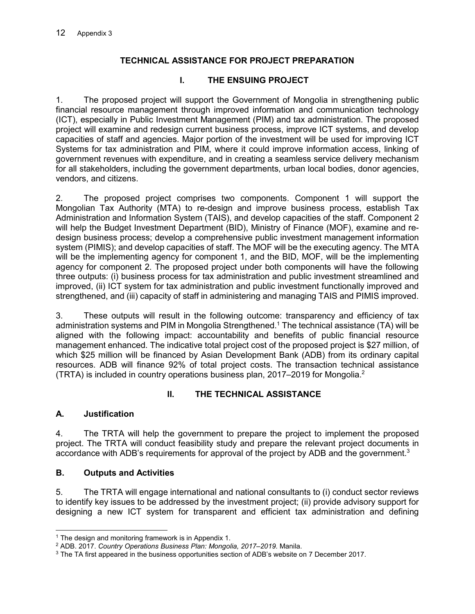# **TECHNICAL ASSISTANCE FOR PROJECT PREPARATION**

# **I. THE ENSUING PROJECT**

1. The proposed project will support the Government of Mongolia in strengthening public financial resource management through improved information and communication technology (ICT), especially in Public Investment Management (PIM) and tax administration. The proposed project will examine and redesign current business process, improve ICT systems, and develop capacities of staff and agencies. Major portion of the investment will be used for improving ICT Systems for tax administration and PIM, where it could improve information access, linking of government revenues with expenditure, and in creating a seamless service delivery mechanism for all stakeholders, including the government departments, urban local bodies, donor agencies, vendors, and citizens.

2. The proposed project comprises two components. Component 1 will support the Mongolian Tax Authority (MTA) to re-design and improve business process, establish Tax Administration and Information System (TAIS), and develop capacities of the staff. Component 2 will help the Budget Investment Department (BID), Ministry of Finance (MOF), examine and redesign business process; develop a comprehensive public investment management information system (PIMIS); and develop capacities of staff. The MOF will be the executing agency. The MTA will be the implementing agency for component 1, and the BID, MOF, will be the implementing agency for component 2. The proposed project under both components will have the following three outputs: (i) business process for tax administration and public investment streamlined and improved, (ii) ICT system for tax administration and public investment functionally improved and strengthened, and (iii) capacity of staff in administering and managing TAIS and PIMIS improved.

3. These outputs will result in the following outcome: transparency and efficiency of tax administration systems and PIM in Mongolia Strengthened.<sup>1</sup> The technical assistance (TA) will be aligned with the following impact: accountability and benefits of public financial resource management enhanced. The indicative total project cost of the proposed project is \$27 million, of which \$25 million will be financed by Asian Development Bank (ADB) from its ordinary capital resources. ADB will finance 92% of total project costs. The transaction technical assistance (TRTA) is included in country operations business plan, 2017–2019 for Mongolia.<sup>2</sup>

# **II. THE TECHNICAL ASSISTANCE**

## **A. Justification**

4. The TRTA will help the government to prepare the project to implement the proposed project. The TRTA will conduct feasibility study and prepare the relevant project documents in accordance with ADB's requirements for approval of the project by ADB and the government.<sup>3</sup>

## **B. Outputs and Activities**

5. The TRTA will engage international and national consultants to (i) conduct sector reviews to identify key issues to be addressed by the investment project; (ii) provide advisory support for designing a new ICT system for transparent and efficient tax administration and defining

<sup>-</sup><sup>1</sup> The design and monitoring framework is in Appendix 1.

<sup>2</sup> ADB. 2017. *Country Operations Business Plan: Mongolia, 2017–2019.* Manila.

 $3$  The TA first appeared in the business opportunities section of ADB's website on 7 December 2017.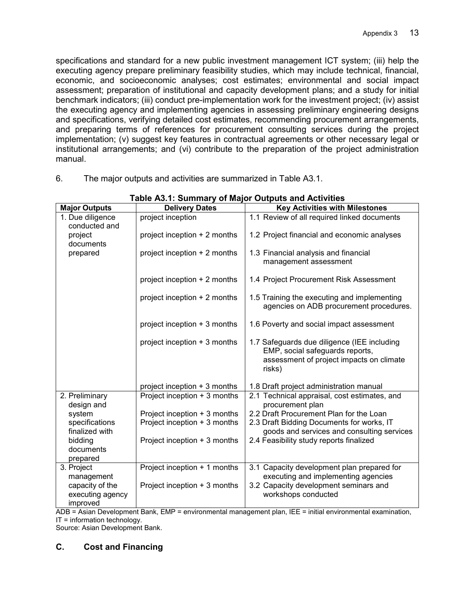specifications and standard for a new public investment management ICT system; (iii) help the executing agency prepare preliminary feasibility studies, which may include technical, financial, economic, and socioeconomic analyses; cost estimates; environmental and social impact assessment; preparation of institutional and capacity development plans; and a study for initial benchmark indicators; (iii) conduct pre-implementation work for the investment project; (iv) assist the executing agency and implementing agencies in assessing preliminary engineering designs and specifications, verifying detailed cost estimates, recommending procurement arrangements, and preparing terms of references for procurement consulting services during the project implementation; (v) suggest key features in contractual agreements or other necessary legal or institutional arrangements; and (vi) contribute to the preparation of the project administration manual.

|                                                 | rapic Av. I. Odininary or major Odipato and Activities |                                                                                                                                      |
|-------------------------------------------------|--------------------------------------------------------|--------------------------------------------------------------------------------------------------------------------------------------|
| <b>Major Outputs</b>                            | <b>Delivery Dates</b>                                  | <b>Key Activities with Milestones</b>                                                                                                |
| 1. Due diligence<br>conducted and               | project inception                                      | 1.1 Review of all required linked documents                                                                                          |
| project<br>documents                            | project inception + 2 months                           | 1.2 Project financial and economic analyses                                                                                          |
| prepared                                        | project inception + 2 months                           | 1.3 Financial analysis and financial<br>management assessment                                                                        |
|                                                 | project inception + 2 months                           | 1.4 Project Procurement Risk Assessment                                                                                              |
|                                                 | project inception + 2 months                           | 1.5 Training the executing and implementing<br>agencies on ADB procurement procedures.                                               |
|                                                 | project inception + 3 months                           | 1.6 Poverty and social impact assessment                                                                                             |
|                                                 | project inception + 3 months                           | 1.7 Safeguards due diligence (IEE including<br>EMP, social safeguards reports,<br>assessment of project impacts on climate<br>risks) |
|                                                 | project inception + 3 months                           | 1.8 Draft project administration manual                                                                                              |
| 2. Preliminary<br>design and                    | Project inception + 3 months                           | 2.1 Technical appraisal, cost estimates, and<br>procurement plan                                                                     |
| system                                          | Project inception + 3 months                           | 2.2 Draft Procurement Plan for the Loan                                                                                              |
| specifications<br>finalized with                | Project inception + 3 months                           | 2.3 Draft Bidding Documents for works, IT<br>goods and services and consulting services                                              |
| bidding                                         | Project inception + 3 months                           | 2.4 Feasibility study reports finalized                                                                                              |
| documents                                       |                                                        |                                                                                                                                      |
| prepared                                        |                                                        |                                                                                                                                      |
| 3. Project<br>management                        | Project inception + 1 months                           | 3.1 Capacity development plan prepared for<br>executing and implementing agencies                                                    |
| capacity of the<br>executing agency<br>improved | Project inception + 3 months                           | 3.2 Capacity development seminars and<br>workshops conducted                                                                         |

6. The major outputs and activities are summarized in Table A3.1.

|  | Table A3.1: Summary of Major Outputs and Activities |
|--|-----------------------------------------------------|
|  |                                                     |

ADB = Asian Development Bank, EMP = environmental management plan, IEE = initial environmental examination, IT = information technology.

Source: Asian Development Bank.

## **C. Cost and Financing**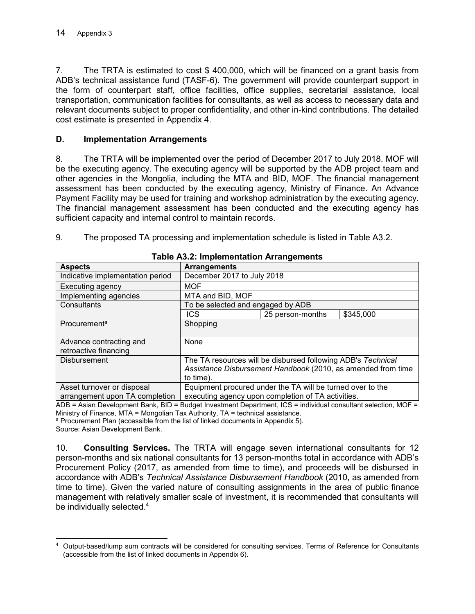7. The TRTA is estimated to cost \$ 400,000, which will be financed on a grant basis from ADB's technical assistance fund (TASF-6). The government will provide counterpart support in the form of counterpart staff, office facilities, office supplies, secretarial assistance, local transportation, communication facilities for consultants, as well as access to necessary data and relevant documents subject to proper confidentiality, and other in-kind contributions. The detailed cost estimate is presented in Appendix 4.

## **D. Implementation Arrangements**

8. The TRTA will be implemented over the period of December 2017 to July 2018. MOF will be the executing agency. The executing agency will be supported by the ADB project team and other agencies in the Mongolia, including the MTA and BID, MOF. The financial management assessment has been conducted by the executing agency, Ministry of Finance. An Advance Payment Facility may be used for training and workshop administration by the executing agency. The financial management assessment has been conducted and the executing agency has sufficient capacity and internal control to maintain records.

9. The proposed TA processing and implementation schedule is listed in Table A3.2.

| <b>Aspects</b>                                               | <b>Arrangements</b>                                                                                              |                                                              |                                                              |  |
|--------------------------------------------------------------|------------------------------------------------------------------------------------------------------------------|--------------------------------------------------------------|--------------------------------------------------------------|--|
| Indicative implementation period                             | December 2017 to July 2018                                                                                       |                                                              |                                                              |  |
| Executing agency                                             | <b>MOF</b>                                                                                                       |                                                              |                                                              |  |
| Implementing agencies                                        | MTA and BID, MOF                                                                                                 |                                                              |                                                              |  |
| Consultants                                                  | To be selected and engaged by ADB                                                                                |                                                              |                                                              |  |
|                                                              | <b>ICS</b>                                                                                                       | 25 person-months                                             | \$345,000                                                    |  |
| Procurement <sup>a</sup>                                     | Shopping                                                                                                         |                                                              |                                                              |  |
| Advance contracting and<br>retroactive financing             | None                                                                                                             |                                                              |                                                              |  |
| <b>Disbursement</b>                                          | to time).                                                                                                        | The TA resources will be disbursed following ADB's Technical | Assistance Disbursement Handbook (2010, as amended from time |  |
| Asset turnover or disposal<br>arrangement upon TA completion | Equipment procured under the TA will be turned over to the<br>executing agency upon completion of TA activities. |                                                              |                                                              |  |

### **Table A3.2: Implementation Arrangements**

ADB = Asian Development Bank, BID = Budget Investment Department, ICS = individual consultant selection, MOF = Ministry of Finance, MTA = Mongolian Tax Authority, TA = technical assistance.

<sup>a</sup> Procurement Plan (accessible from the list of linked documents in Appendix 5). Source: Asian Development Bank.

10. **Consulting Services.** The TRTA will engage seven international consultants for 12 person-months and six national consultants for 13 person-months total in accordance with ADB's Procurement Policy (2017, as amended from time to time), and proceeds will be disbursed in accordance with ADB's *Technical Assistance Disbursement Handbook* (2010, as amended from time to time). Given the varied nature of consulting assignments in the area of public finance management with relatively smaller scale of investment, it is recommended that consultants will be individually selected.<sup>4</sup>

 4 Output-based/lump sum contracts will be considered for consulting services. Terms of Reference for Consultants (accessible from the list of linked documents in Appendix 6).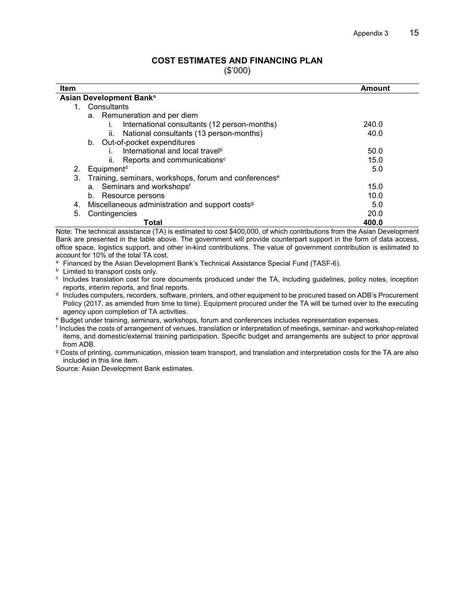## **COST ESTIMATES AND FINANCING PLAN**

(\$'000)

| <b>Item</b>                                                             | Amount |
|-------------------------------------------------------------------------|--------|
| Asian Development Bank <sup>a</sup>                                     |        |
| Consultants<br>1.                                                       |        |
| a. Remuneration and per diem                                            |        |
| International consultants (12 person-months)                            | 240.0  |
| National consultants (13 person-months)<br>ii.                          | 40.0   |
| b. Out-of-pocket expenditures                                           |        |
| International and local travel <sup>b</sup>                             | 50.0   |
| Reports and communications <sup>c</sup><br>ii.                          | 15.0   |
| Equipment <sup>d</sup><br>2.                                            | 5.0    |
| 3.<br>Training, seminars, workshops, forum and conferences <sup>e</sup> |        |
| a. Seminars and workshopsf                                              | 15.0   |
| Resource persons<br>b.                                                  | 10.0   |
| Miscellaneous administration and support costs <sup>9</sup><br>4.       | 5.0    |
| 5.<br>Contingencies                                                     | 20.0   |
| Total                                                                   | 400.0  |

Note: The technical assistance (TA) is estimated to cost \$400,000, of which contributions from the Asian Development Bank are presented in the table above. The government will provide counterpart support in the form of data access, office space, logistics support, and other in-kind contributions. The value of government contribution is estimated to account for 10% of the total TA cost.

<sup>a</sup> Financed by the Asian Development Bank's Technical Assistance Special Fund (TASF-6).

<sup>b</sup> Limited to transport costs only.

c Includes translation cost for core documents produced under the TA, including guidelines, policy notes, inception reports, interim reports, and final reports.

d Includes computers, recorders, software, printers, and other equipment to be procured based on ADB's Procurement Policy (2017, as amended from time to time). Equipment procured under the TA will be turned over to the executing agency upon completion of TA activities.

e Budget under training, seminars, workshops, forum and conferences includes representation expenses.

f Includes the costs of arrangement of venues, translation or interpretation of meetings, seminar- and workshop-related items, and domestic/external training participation. Specific budget and arrangements are subject to prior approval from ADB.

g Costs of printing, communication, mission team transport, and translation and interpretation costs for the TA are also included in this line item.

Source: Asian Development Bank estimates.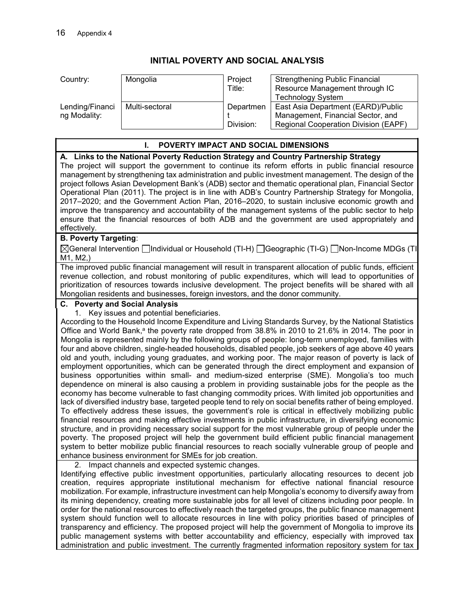## **INITIAL POVERTY AND SOCIAL ANALYSIS**

| Country:                        | Mongolia       | Project<br>Title:      | <b>Strengthening Public Financial</b><br>Resource Management through IC<br><b>Technology System</b>             |
|---------------------------------|----------------|------------------------|-----------------------------------------------------------------------------------------------------------------|
| Lending/Financi<br>ng Modality: | Multi-sectoral | Departmen<br>Division: | East Asia Department (EARD)/Public<br>Management, Financial Sector, and<br>Regional Cooperation Division (EAPF) |

### **I. POVERTY IMPACT AND SOCIAL DIMENSIONS**

### **A. Links to the National Poverty Reduction Strategy and Country Partnership Strategy**

The project will support the government to continue its reform efforts in public financial resource management by strengthening tax administration and public investment management. The design of the project follows Asian Development Bank's (ADB) sector and thematic operational plan, Financial Sector Operational Plan (2011). The project is in line with ADB's Country Partnership Strategy for Mongolia, 2017–2020; and the Government Action Plan, 2016–2020, to sustain inclusive economic growth and improve the transparency and accountability of the management systems of the public sector to help ensure that the financial resources of both ADB and the government are used appropriately and effectively.

### **B. Poverty Targeting**:

 $\boxtimes$ General Intervention  $\Box$ Individual or Household (TI-H)  $\Box$ Geographic (TI-G)  $\Box$ Non-Income MDGs (TI-M1, M2,)

The improved public financial management will result in transparent allocation of public funds, efficient revenue collection, and robust monitoring of public expenditures, which will lead to opportunities of prioritization of resources towards inclusive development. The project benefits will be shared with all Mongolian residents and businesses, foreign investors, and the donor community.

#### **C. Poverty and Social Analysis**

1. Key issues and potential beneficiaries.

According to the Household Income Expenditure and Living Standards Survey, by the National Statistics Office and World Bank,<sup>a</sup> the poverty rate dropped from  $38.8\%$  in 2010 to 21.6% in 2014. The poor in Mongolia is represented mainly by the following groups of people: long-term unemployed, families with four and above children, single-headed households, disabled people, job seekers of age above 40 years old and youth, including young graduates, and working poor. The major reason of poverty is lack of employment opportunities, which can be generated through the direct employment and expansion of business opportunities within small- and medium-sized enterprise (SME). Mongolia's too much dependence on mineral is also causing a problem in providing sustainable jobs for the people as the economy has become vulnerable to fast changing commodity prices. With limited job opportunities and lack of diversified industry base, targeted people tend to rely on social benefits rather of being employed. To effectively address these issues, the government's role is critical in effectively mobilizing public financial resources and making effective investments in public infrastructure, in diversifying economic structure, and in providing necessary social support for the most vulnerable group of people under the poverty. The proposed project will help the government build efficient public financial management system to better mobilize public financial resources to reach socially vulnerable group of people and enhance business environment for SMEs for job creation.

2. Impact channels and expected systemic changes.

Identifying effective public investment opportunities, particularly allocating resources to decent job creation, requires appropriate institutional mechanism for effective national financial resource mobilization. For example, infrastructure investment can help Mongolia's economy to diversify away from its mining dependency, creating more sustainable jobs for all level of citizens including poor people. In order for the national resources to effectively reach the targeted groups, the public finance management system should function well to allocate resources in line with policy priorities based of principles of transparency and efficiency. The proposed project will help the government of Mongolia to improve its public management systems with better accountability and efficiency, especially with improved tax administration and public investment. The currently fragmented information repository system for tax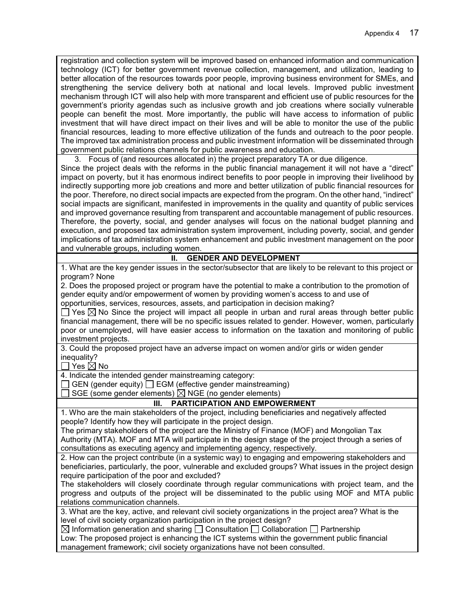registration and collection system will be improved based on enhanced information and communication technology (ICT) for better government revenue collection, management, and utilization, leading to better allocation of the resources towards poor people, improving business environment for SMEs, and strengthening the service delivery both at national and local levels. Improved public investment mechanism through ICT will also help with more transparent and efficient use of public resources for the government's priority agendas such as inclusive growth and job creations where socially vulnerable people can benefit the most. More importantly, the public will have access to information of public investment that will have direct impact on their lives and will be able to monitor the use of the public financial resources, leading to more effective utilization of the funds and outreach to the poor people. The improved tax administration process and public investment information will be disseminated through government public relations channels for public awareness and education.

3. Focus of (and resources allocated in) the project preparatory TA or due diligence. Since the project deals with the reforms in the public financial management it will not have a "direct" impact on poverty, but it has enormous indirect benefits to poor people in improving their livelihood by indirectly supporting more job creations and more and better utilization of public financial resources for the poor. Therefore, no direct social impacts are expected from the program. On the other hand, "indirect" social impacts are significant, manifested in improvements in the quality and quantity of public services and improved governance resulting from transparent and accountable management of public resources. Therefore, the poverty, social, and gender analyses will focus on the national budget planning and execution, and proposed tax administration system improvement, including poverty, social, and gender implications of tax administration system enhancement and public investment management on the poor

and vulnerable groups, including women.

### **II. GENDER AND DEVELOPMENT**

1. What are the key gender issues in the sector/subsector that are likely to be relevant to this project or program? None

2. Does the proposed project or program have the potential to make a contribution to the promotion of gender equity and/or empowerment of women by providing women's access to and use of opportunities, services, resources, assets, and participation in decision making?

 $\Box$  Yes  $\boxtimes$  No Since the project will impact all people in urban and rural areas through better public financial management, there will be no specific issues related to gender. However, women, particularly poor or unemployed, will have easier access to information on the taxation and monitoring of public investment projects.

3. Could the proposed project have an adverse impact on women and/or girls or widen gender inequality?

 $\Box$  Yes  $\boxtimes$  No

4. Indicate the intended gender mainstreaming category:

 $\Box$  GEN (gender equity)  $\Box$  EGM (effective gender mainstreaming)

SGE (some gender elements)  $\boxtimes$  NGE (no gender elements)

### **III. PARTICIPATION AND EMPOWERMENT**

1. Who are the main stakeholders of the project, including beneficiaries and negatively affected people? Identify how they will participate in the project design.

The primary stakeholders of the project are the Ministry of Finance (MOF) and Mongolian Tax Authority (MTA). MOF and MTA will participate in the design stage of the project through a series of consultations as executing agency and implementing agency, respectively.

2. How can the project contribute (in a systemic way) to engaging and empowering stakeholders and beneficiaries, particularly, the poor, vulnerable and excluded groups? What issues in the project design require participation of the poor and excluded?

The stakeholders will closely coordinate through regular communications with project team, and the progress and outputs of the project will be disseminated to the public using MOF and MTA public relations communication channels.

3. What are the key, active, and relevant civil society organizations in the project area? What is the level of civil society organization participation in the project design?

 $\boxtimes$  Information generation and sharing  $\Box$  Consultation  $\Box$  Collaboration  $\Box$  Partnership

Low: The proposed project is enhancing the ICT systems within the government public financial management framework; civil society organizations have not been consulted.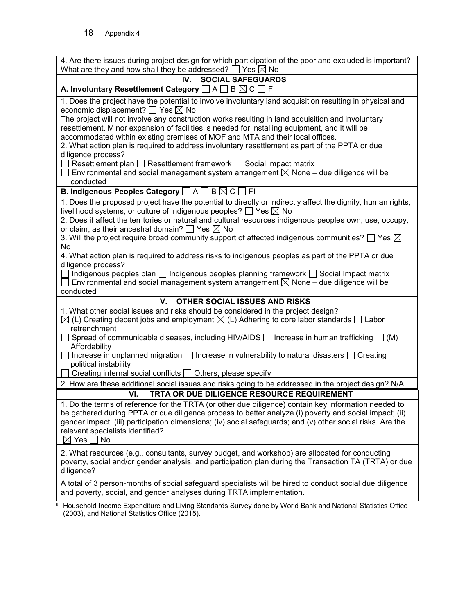| 4. Are there issues during project design for which participation of the poor and excluded is important?                                                                                                          |
|-------------------------------------------------------------------------------------------------------------------------------------------------------------------------------------------------------------------|
| What are they and how shall they be addressed? $\Box$ Yes $\boxtimes$ No                                                                                                                                          |
| IV.<br><b>SOCIAL SAFEGUARDS</b><br>A. Involuntary Resettlement Category $\square$ A $\square$ B $\boxtimes$ C [<br> F                                                                                             |
|                                                                                                                                                                                                                   |
| 1. Does the project have the potential to involve involuntary land acquisition resulting in physical and<br>economic displacement? $\Box$ Yes $\boxtimes$ No                                                      |
| The project will not involve any construction works resulting in land acquisition and involuntary<br>resettlement. Minor expansion of facilities is needed for installing equipment, and it will be               |
| accommodated within existing premises of MOF and MTA and their local offices.                                                                                                                                     |
| 2. What action plan is required to address involuntary resettlement as part of the PPTA or due                                                                                                                    |
| diligence process?                                                                                                                                                                                                |
| $\Box$ Resettlement plan $\Box$ Resettlement framework $\Box$ Social impact matrix                                                                                                                                |
| $\Box$ Environmental and social management system arrangement $\boxtimes$ None – due diligence will be<br>conducted                                                                                               |
| <b>B. Indigenous Peoples Category</b> □ A □ B △ C □ FI                                                                                                                                                            |
| 1. Does the proposed project have the potential to directly or indirectly affect the dignity, human rights,                                                                                                       |
| livelihood systems, or culture of indigenous peoples? $\Box$ Yes $\boxtimes$ No                                                                                                                                   |
| 2. Does it affect the territories or natural and cultural resources indigenous peoples own, use, occupy,                                                                                                          |
| or claim, as their ancestral domain? $\Box$ Yes $\boxtimes$ No                                                                                                                                                    |
| 3. Will the project require broad community support of affected indigenous communities? $\Box$ Yes $\boxtimes$                                                                                                    |
| <b>No</b>                                                                                                                                                                                                         |
| 4. What action plan is required to address risks to indigenous peoples as part of the PPTA or due                                                                                                                 |
| diligence process?                                                                                                                                                                                                |
| $\Box$ Indigenous peoples plan $\Box$ Indigenous peoples planning framework $\Box$ Social Impact matrix<br>$\Box$ Environmental and social management system arrangement $\boxtimes$ None – due diligence will be |
| conducted                                                                                                                                                                                                         |
| V.<br>OTHER SOCIAL ISSUES AND RISKS                                                                                                                                                                               |
| 1. What other social issues and risks should be considered in the project design?                                                                                                                                 |
| $\boxtimes$ (L) Creating decent jobs and employment $\boxtimes$ (L) Adhering to core labor standards $\Box$ Labor<br>retrenchment                                                                                 |
| ◯ Spread of communicable diseases, including HIV/AIDS ◯ Increase in human trafficking ◯ (M)<br>Affordability                                                                                                      |
| □ Increase in unplanned migration □ Increase in vulnerability to natural disasters □ Creating<br>political instability                                                                                            |
| Creating internal social conflicts □ Others, please specify                                                                                                                                                       |
| 2. How are these additional social issues and risks going to be addressed in the project design? N/A                                                                                                              |
| TRTA OR DUE DILIGENCE RESOURCE REQUIREMENT<br>VI.                                                                                                                                                                 |
| 1. Do the terms of reference for the TRTA (or other due diligence) contain key information needed to                                                                                                              |
| be gathered during PPTA or due diligence process to better analyze (i) poverty and social impact; (ii)                                                                                                            |
| gender impact, (iii) participation dimensions; (iv) social safeguards; and (v) other social risks. Are the                                                                                                        |
| relevant specialists identified?                                                                                                                                                                                  |
| $\boxtimes$ Yes $\Box$ No                                                                                                                                                                                         |
| 2. What resources (e.g., consultants, survey budget, and workshop) are allocated for conducting                                                                                                                   |
| poverty, social and/or gender analysis, and participation plan during the Transaction TA (TRTA) or due                                                                                                            |
| diligence?                                                                                                                                                                                                        |
| A total of 3 person-months of social safeguard specialists will be hired to conduct social due diligence                                                                                                          |
| and poverty, social, and gender analyses during TRTA implementation.                                                                                                                                              |
| Household Income Expenditure and Living Standards Survey done by World Bank and National Statistics Office                                                                                                        |

(2003), and National Statistics Office (2015).